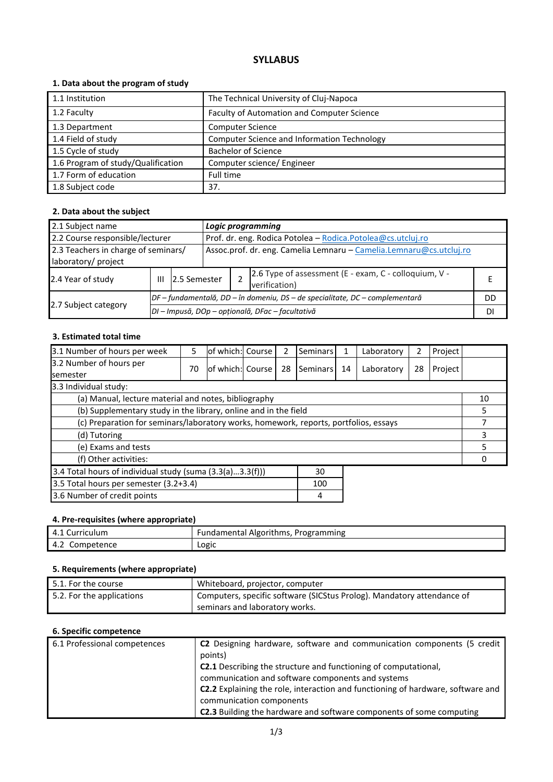# **SYLLABUS**

# **1. Data about the program of study**

| 1.1 Institution                    | The Technical University of Cluj-Napoca     |
|------------------------------------|---------------------------------------------|
|                                    |                                             |
| 1.2 Faculty                        | Faculty of Automation and Computer Science  |
| 1.3 Department                     | <b>Computer Science</b>                     |
| 1.4 Field of study                 | Computer Science and Information Technology |
| 1.5 Cycle of study                 | <b>Bachelor of Science</b>                  |
| 1.6 Program of study/Qualification | Computer science/ Engineer                  |
| 1.7 Form of education              | Full time                                   |
| 1.8 Subject code                   | 37.                                         |

# **2. Data about the subject**

| 2.1 Subject name                                           |                                                                              |                                                  | Logic programming |                                                             |                                                                        |    |  |
|------------------------------------------------------------|------------------------------------------------------------------------------|--------------------------------------------------|-------------------|-------------------------------------------------------------|------------------------------------------------------------------------|----|--|
| 2.2 Course responsible/lecturer                            |                                                                              |                                                  |                   | Prof. dr. eng. Rodica Potolea - Rodica.Potolea@cs.utcluj.ro |                                                                        |    |  |
| 2.3 Teachers in charge of seminars/<br>laboratory/ project | Assoc.prof. dr. eng. Camelia Lemnaru - Camelia.Lemnaru@cs.utcluj.ro          |                                                  |                   |                                                             |                                                                        |    |  |
| 2.4 Year of study                                          | Ш                                                                            | 2.5 Semester                                     |                   |                                                             | 2.6 Type of assessment (E - exam, C - colloquium, V -<br>verification) |    |  |
|                                                            | DF – fundamentală, DD – în domeniu, DS – de specialitate, DC – complementară |                                                  |                   |                                                             |                                                                        | DD |  |
| 2.7 Subject category                                       |                                                                              | DI - Impusă, DOp - opțională, DFac - facultativă |                   |                                                             |                                                                        |    |  |

#### **3. Estimated total time**

| 3.1 Number of hours per week                                                         | 5  | lof which: Course | 2  | <b>Seminars</b> | 1  | Laboratory | 2  | Project |    |
|--------------------------------------------------------------------------------------|----|-------------------|----|-----------------|----|------------|----|---------|----|
| 3.2 Number of hours per<br><b>semester</b>                                           | 70 | lof which: Course | 28 | Seminars        | 14 | Laboratory | 28 | Project |    |
| 3.3 Individual study:                                                                |    |                   |    |                 |    |            |    |         |    |
| (a) Manual, lecture material and notes, bibliography                                 |    |                   |    |                 |    |            |    |         | 10 |
| (b) Supplementary study in the library, online and in the field                      |    |                   |    |                 |    |            |    |         | 5  |
| (c) Preparation for seminars/laboratory works, homework, reports, portfolios, essays |    |                   |    |                 |    |            |    |         |    |
| (d) Tutoring                                                                         |    |                   |    |                 |    |            |    |         | 3  |
| (e) Exams and tests                                                                  |    |                   |    |                 |    |            |    |         | 5. |
| (f) Other activities:                                                                |    |                   |    |                 |    |            |    |         |    |
| 3.4 Total hours of individual study (suma (3.3(a)3.3(f)))                            |    |                   |    | 30              |    |            |    |         |    |
| 3.5 Total hours per semester (3.2+3.4)                                               |    |                   |    | 100             |    |            |    |         |    |
| 3.6 Number of credit points                                                          |    |                   |    | 4               |    |            |    |         |    |

# **4. Pre-requisites (where appropriate)**

| ' Curriculum      | <b>Fundamental Algorithms, P</b> |
|-------------------|----------------------------------|
| 4.1               | . Programming                    |
| Competence<br>4.2 | LORIC                            |

# **5. Requirements (where appropriate)**

| $\mid$ 5.1. For the course | Whiteboard, projector, computer                                        |
|----------------------------|------------------------------------------------------------------------|
| 5.2. For the applications  | Computers, specific software (SICStus Prolog). Mandatory attendance of |
|                            | seminars and laboratory works.                                         |

# **6. Specific competence**

| 6.1 Professional competences | C2 Designing hardware, software and communication components (5 credit          |
|------------------------------|---------------------------------------------------------------------------------|
|                              | points)                                                                         |
|                              | <b>C2.1</b> Describing the structure and functioning of computational,          |
|                              | communication and software components and systems                               |
|                              | C2.2 Explaining the role, interaction and functioning of hardware, software and |
|                              | communication components                                                        |
|                              | <b>C2.3</b> Building the hardware and software components of some computing     |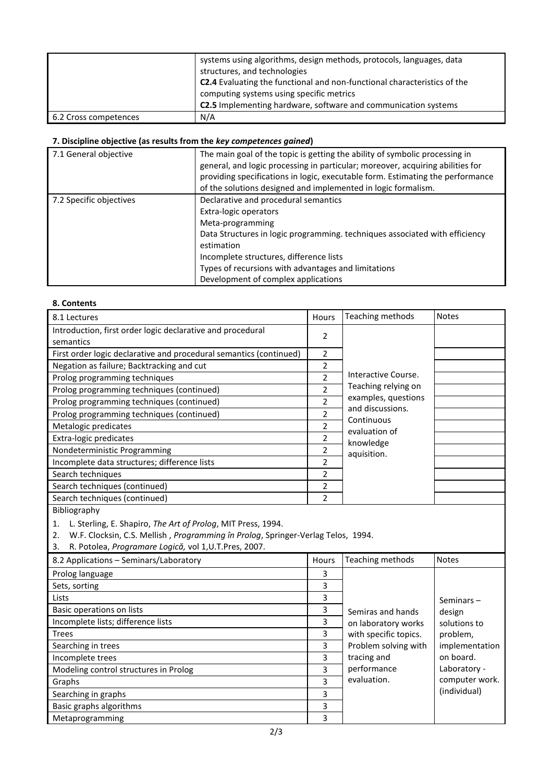|                       | systems using algorithms, design methods, protocols, languages, data<br>structures, and technologies<br><b>C2.4</b> Evaluating the functional and non-functional characteristics of the<br>computing systems using specific metrics<br>C2.5 Implementing hardware, software and communication systems |
|-----------------------|-------------------------------------------------------------------------------------------------------------------------------------------------------------------------------------------------------------------------------------------------------------------------------------------------------|
| 6.2 Cross competences | N/A                                                                                                                                                                                                                                                                                                   |

#### **7. Discipline objective (as results from the** *key competences gained***)**

| 7.1 General objective   | The main goal of the topic is getting the ability of symbolic processing in<br>general, and logic processing in particular; moreover, acquiring abilities for<br>providing specifications in logic, executable form. Estimating the performance<br>of the solutions designed and implemented in logic formalism. |
|-------------------------|------------------------------------------------------------------------------------------------------------------------------------------------------------------------------------------------------------------------------------------------------------------------------------------------------------------|
| 7.2 Specific objectives | Declarative and procedural semantics<br>Extra-logic operators<br>Meta-programming<br>Data Structures in logic programming. techniques associated with efficiency<br>estimation<br>Incomplete structures, difference lists<br>Types of recursions with advantages and limitations                                 |
|                         | Development of complex applications                                                                                                                                                                                                                                                                              |

#### **8. Contents**

| 8.1 Lectures                                                                           | Hours          | Teaching methods               | <b>Notes</b>   |
|----------------------------------------------------------------------------------------|----------------|--------------------------------|----------------|
| Introduction, first order logic declarative and procedural                             | 2              |                                |                |
| semantics                                                                              |                |                                |                |
| First order logic declarative and procedural semantics (continued)                     | 2              |                                |                |
| Negation as failure; Backtracking and cut                                              | 2              |                                |                |
| Prolog programming techniques                                                          | $\overline{2}$ | Interactive Course.            |                |
| Prolog programming techniques (continued)                                              | $\overline{2}$ | Teaching relying on            |                |
| Prolog programming techniques (continued)                                              | $\overline{2}$ | examples, questions            |                |
| Prolog programming techniques (continued)                                              | $\overline{c}$ | and discussions.<br>Continuous |                |
| Metalogic predicates                                                                   | $\overline{2}$ | evaluation of                  |                |
| <b>Extra-logic predicates</b>                                                          | $\overline{c}$ | knowledge                      |                |
| Nondeterministic Programming                                                           | $\overline{2}$ | aquisition.                    |                |
| Incomplete data structures; difference lists                                           | $\overline{2}$ |                                |                |
| Search techniques                                                                      | 2              |                                |                |
| Search techniques (continued)                                                          | $\overline{2}$ |                                |                |
| Search techniques (continued)                                                          | $\overline{2}$ |                                |                |
| Bibliography                                                                           |                |                                |                |
| L. Sterling, E. Shapiro, The Art of Prolog, MIT Press, 1994.<br>1.                     |                |                                |                |
| W.F. Clocksin, C.S. Mellish, Programming în Prolog, Springer-Verlag Telos, 1994.<br>2. |                |                                |                |
| R. Potolea, Programare Logică, vol 1, U.T. Pres, 2007.<br>3.                           |                |                                |                |
| 8.2 Applications - Seminars/Laboratory                                                 | Hours          | Teaching methods               | <b>Notes</b>   |
| Prolog language                                                                        | 3              |                                |                |
| Sets, sorting                                                                          | 3              |                                |                |
| Lists                                                                                  | 3              |                                | Seminars-      |
| Basic operations on lists                                                              | 3              | Semiras and hands              | design         |
| Incomplete lists; difference lists                                                     | 3              | on laboratory works            | solutions to   |
| <b>Trees</b>                                                                           | 3              | with specific topics.          | problem,       |
| Searching in trees                                                                     | 3              | Problem solving with           | implementation |
| Incomplete trees                                                                       | 3              | tracing and                    | on board.      |
| Modeling control structures in Prolog                                                  | 3              | performance                    | Laboratory -   |
| Graphs                                                                                 | 3              | evaluation.                    | computer work. |
| Searching in graphs                                                                    | 3              |                                | (individual)   |
| Basic graphs algorithms                                                                | 3              |                                |                |
| Metaprogramming                                                                        | 3              |                                |                |